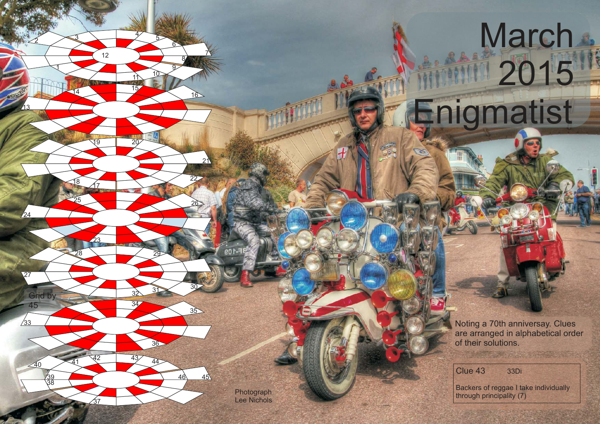Noting a 70th anniversay. Clues are arranged in alphabetical order of their solutions.

Clue 43 33Di

**March** 

11 2015

Enigmatist

Backers of reggae I take individually Photograph principality (7) Photograph principality (7)

Lee Nichols

<sup>15</sup>

18 17

 $rac{37}{2}$ 

<sup>41</sup> <sup>42</sup> <sup>43</sup>

<sup>26</sup>

<sup>31</sup>

 

 $45<sup>2</sup>$ 

 $/24$ 

**Grid by** 

 $\sqrt{33}$